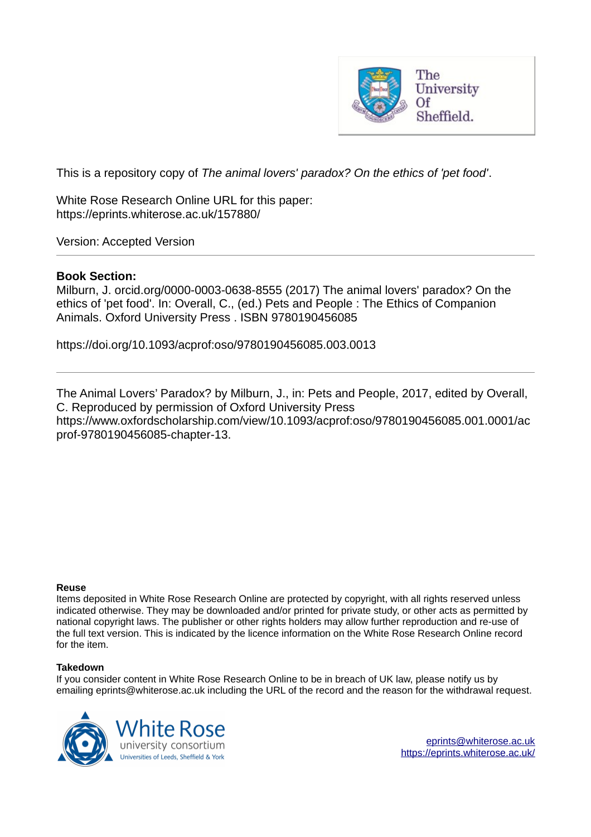

This is a repository copy of *The animal lovers' paradox? On the ethics of 'pet food'*.

White Rose Research Online URL for this paper: https://eprints.whiterose.ac.uk/157880/

Version: Accepted Version

# **Book Section:**

Milburn, J. orcid.org/0000-0003-0638-8555 (2017) The animal lovers' paradox? On the ethics of 'pet food'. In: Overall, C., (ed.) Pets and People : The Ethics of Companion Animals. Oxford University Press . ISBN 9780190456085

https://doi.org/10.1093/acprof:oso/9780190456085.003.0013

The Animal Lovers' Paradox? by Milburn, J., in: Pets and People, 2017, edited by Overall, C. Reproduced by permission of Oxford University Press https://www.oxfordscholarship.com/view/10.1093/acprof:oso/9780190456085.001.0001/ac prof-9780190456085-chapter-13.

#### **Reuse**

Items deposited in White Rose Research Online are protected by copyright, with all rights reserved unless indicated otherwise. They may be downloaded and/or printed for private study, or other acts as permitted by national copyright laws. The publisher or other rights holders may allow further reproduction and re-use of the full text version. This is indicated by the licence information on the White Rose Research Online record for the item.

#### **Takedown**

If you consider content in White Rose Research Online to be in breach of UK law, please notify us by emailing eprints@whiterose.ac.uk including the URL of the record and the reason for the withdrawal request.

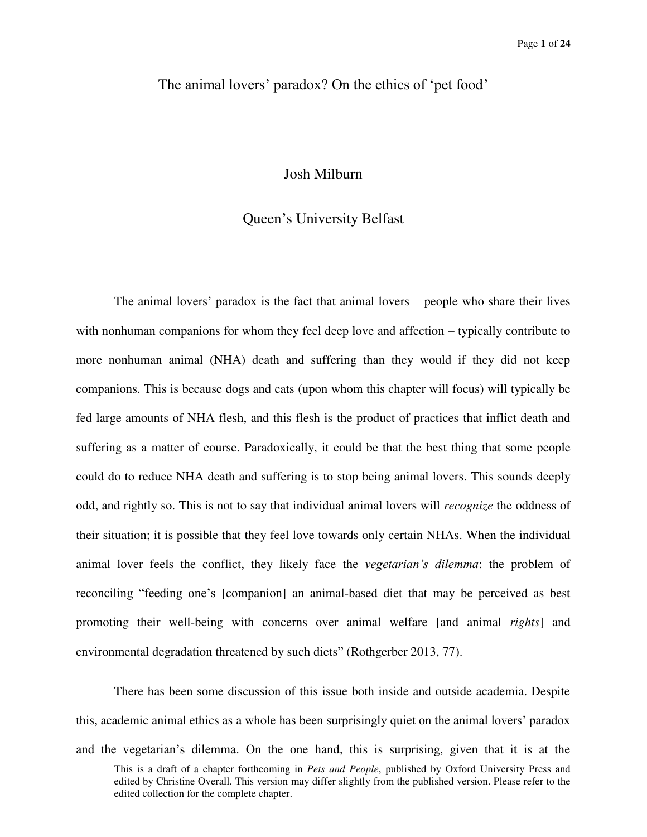#### The animal lovers' paradox? On the ethics of 'pet food'

### Josh Milburn

### Queen's University Belfast

The animal lovers' paradox is the fact that animal lovers – people who share their lives with nonhuman companions for whom they feel deep love and affection – typically contribute to more nonhuman animal (NHA) death and suffering than they would if they did not keep companions. This is because dogs and cats (upon whom this chapter will focus) will typically be fed large amounts of NHA flesh, and this flesh is the product of practices that inflict death and suffering as a matter of course. Paradoxically, it could be that the best thing that some people could do to reduce NHA death and suffering is to stop being animal lovers. This sounds deeply odd, and rightly so. This is not to say that individual animal lovers will *recognize* the oddness of their situation; it is possible that they feel love towards only certain NHAs. When the individual animal lover feels the conflict, they likely face the *vegetarian's dilemma*: the problem of reconciling "feeding one's [companion] an animal-based diet that may be perceived as best promoting their well-being with concerns over animal welfare [and animal *rights*] and environmental degradation threatened by such diets" (Rothgerber 2013, 77).

There has been some discussion of this issue both inside and outside academia. Despite this, academic animal ethics as a whole has been surprisingly quiet on the animal lovers' paradox

This is a draft of a chapter forthcoming in *Pets and People*, published by Oxford University Press and edited by Christine Overall. This version may differ slightly from the published version. Please refer to the edited collection for the complete chapter. and the vegetarian's dilemma. On the one hand, this is surprising, given that it is at the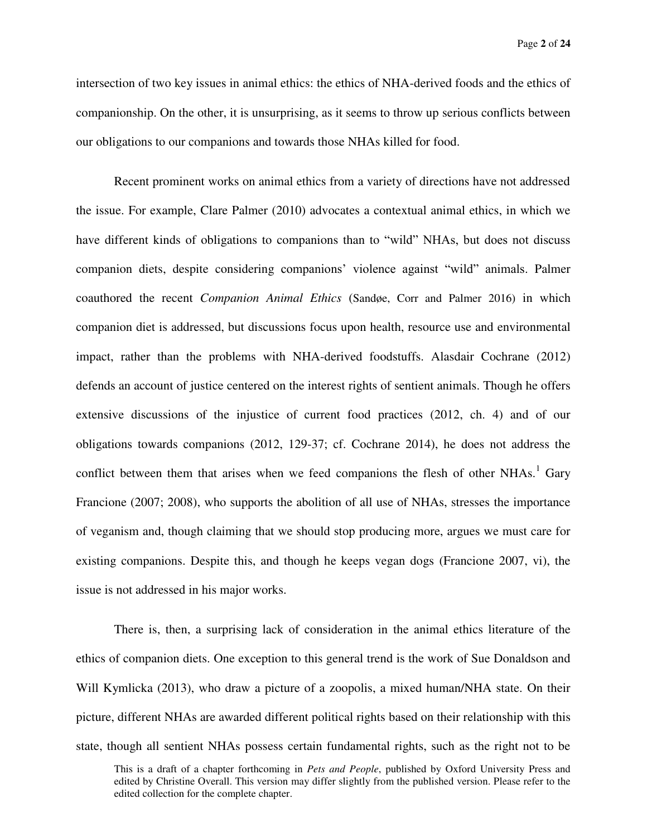Page **2** of **24**

intersection of two key issues in animal ethics: the ethics of NHA-derived foods and the ethics of companionship. On the other, it is unsurprising, as it seems to throw up serious conflicts between our obligations to our companions and towards those NHAs killed for food.

Recent prominent works on animal ethics from a variety of directions have not addressed the issue. For example, Clare Palmer (2010) advocates a contextual animal ethics, in which we have different kinds of obligations to companions than to "wild" NHAs, but does not discuss companion diets, despite considering companions' violence against "wild" animals. Palmer coauthored the recent *Companion Animal Ethics* (Sandøe, Corr and Palmer 2016) in which companion diet is addressed, but discussions focus upon health, resource use and environmental impact, rather than the problems with NHA-derived foodstuffs. Alasdair Cochrane (2012) defends an account of justice centered on the interest rights of sentient animals. Though he offers extensive discussions of the injustice of current food practices (2012, ch. 4) and of our obligations towards companions (2012, 129-37; cf. Cochrane 2014), he does not address the conflict between them that arises when we feed companions the flesh of other NHAs. $<sup>1</sup>$  Gary</sup> Francione (2007; 2008), who supports the abolition of all use of NHAs, stresses the importance of veganism and, though claiming that we should stop producing more, argues we must care for existing companions. Despite this, and though he keeps vegan dogs (Francione 2007, vi), the issue is not addressed in his major works.

There is, then, a surprising lack of consideration in the animal ethics literature of the ethics of companion diets. One exception to this general trend is the work of Sue Donaldson and Will Kymlicka (2013), who draw a picture of a zoopolis, a mixed human/NHA state. On their picture, different NHAs are awarded different political rights based on their relationship with this state, though all sentient NHAs possess certain fundamental rights, such as the right not to be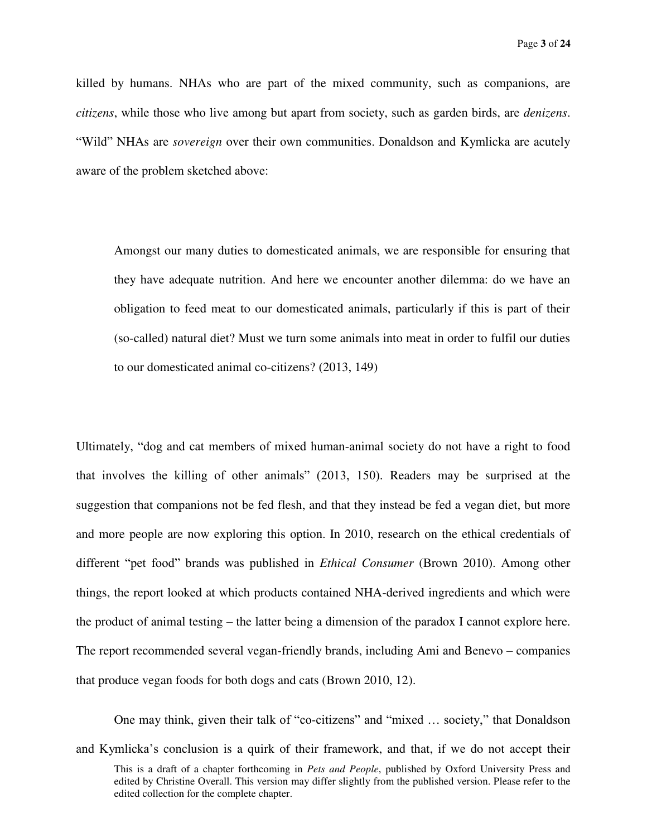killed by humans. NHAs who are part of the mixed community, such as companions, are *citizens*, while those who live among but apart from society, such as garden birds, are *denizens*. "Wild" NHAs are *sovereign* over their own communities. Donaldson and Kymlicka are acutely aware of the problem sketched above:

Amongst our many duties to domesticated animals, we are responsible for ensuring that they have adequate nutrition. And here we encounter another dilemma: do we have an obligation to feed meat to our domesticated animals, particularly if this is part of their (so-called) natural diet? Must we turn some animals into meat in order to fulfil our duties to our domesticated animal co-citizens? (2013, 149)

Ultimately, "dog and cat members of mixed human-animal society do not have a right to food that involves the killing of other animals" (2013, 150). Readers may be surprised at the suggestion that companions not be fed flesh, and that they instead be fed a vegan diet, but more and more people are now exploring this option. In 2010, research on the ethical credentials of different "pet food" brands was published in *Ethical Consumer* (Brown 2010). Among other things, the report looked at which products contained NHA-derived ingredients and which were the product of animal testing – the latter being a dimension of the paradox I cannot explore here. The report recommended several vegan-friendly brands, including Ami and Benevo – companies that produce vegan foods for both dogs and cats (Brown 2010, 12).

This is a draft of a chapter forthcoming in *Pets and People*, published by Oxford University Press and edited by Christine Overall. This version may differ slightly from the published version. Please refer to the edited collection for the complete chapter. One may think, given their talk of "co-citizens" and "mixed … society," that Donaldson and Kymlicka's conclusion is a quirk of their framework, and that, if we do not accept their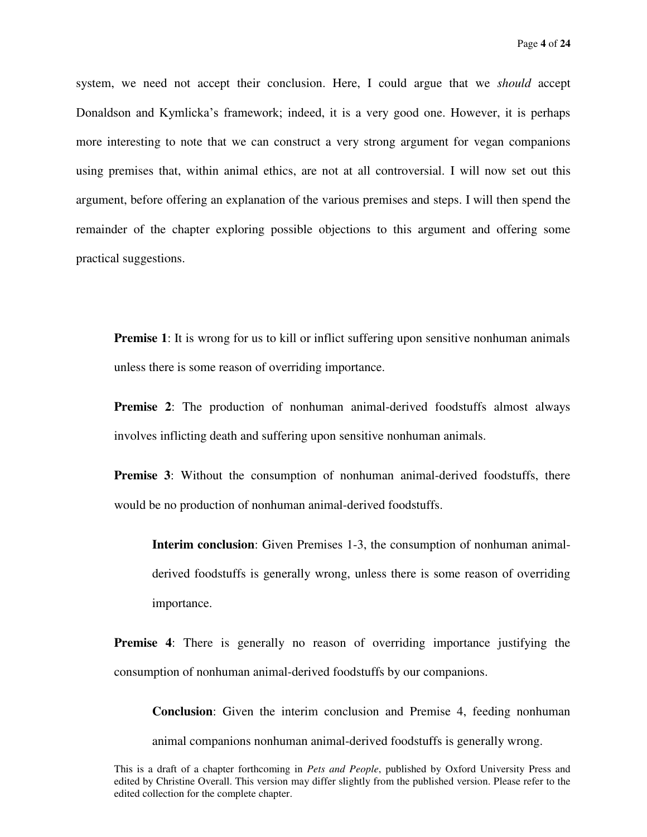system, we need not accept their conclusion. Here, I could argue that we *should* accept Donaldson and Kymlicka's framework; indeed, it is a very good one. However, it is perhaps more interesting to note that we can construct a very strong argument for vegan companions using premises that, within animal ethics, are not at all controversial. I will now set out this argument, before offering an explanation of the various premises and steps. I will then spend the remainder of the chapter exploring possible objections to this argument and offering some practical suggestions.

**Premise 1**: It is wrong for us to kill or inflict suffering upon sensitive nonhuman animals unless there is some reason of overriding importance.

**Premise 2:** The production of nonhuman animal-derived foodstuffs almost always involves inflicting death and suffering upon sensitive nonhuman animals.

**Premise 3**: Without the consumption of nonhuman animal-derived foodstuffs, there would be no production of nonhuman animal-derived foodstuffs.

**Interim conclusion**: Given Premises 1-3, the consumption of nonhuman animalderived foodstuffs is generally wrong, unless there is some reason of overriding importance.

**Premise 4:** There is generally no reason of overriding importance justifying the consumption of nonhuman animal-derived foodstuffs by our companions.

**Conclusion**: Given the interim conclusion and Premise 4, feeding nonhuman animal companions nonhuman animal-derived foodstuffs is generally wrong.

This is a draft of a chapter forthcoming in *Pets and People*, published by Oxford University Press and edited by Christine Overall. This version may differ slightly from the published version. Please refer to the edited collection for the complete chapter.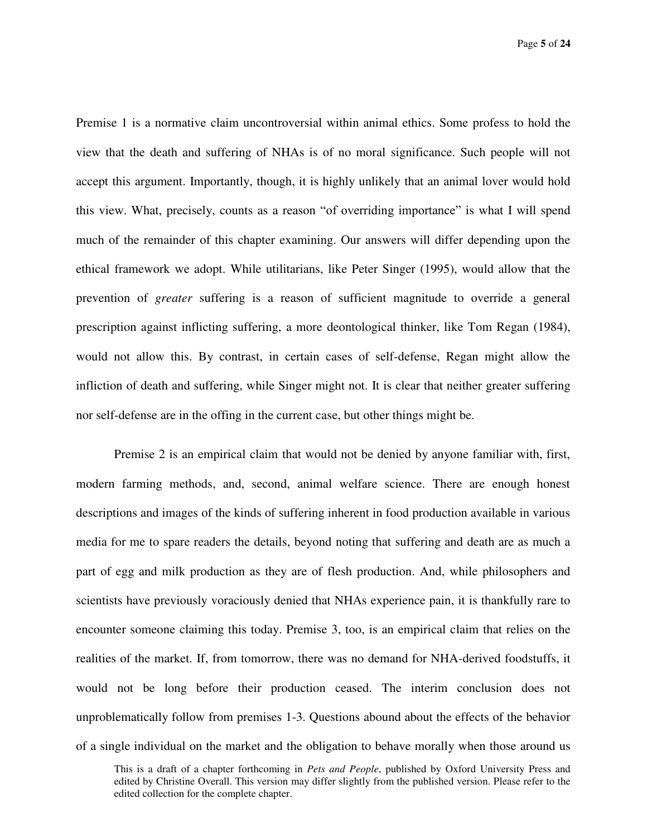Page **5** of **24**

Premise 1 is a normative claim uncontroversial within animal ethics. Some profess to hold the view that the death and suffering of NHAs is of no moral significance. Such people will not accept this argument. Importantly, though, it is highly unlikely that an animal lover would hold this view. What, precisely, counts as a reason "of overriding importance" is what I will spend much of the remainder of this chapter examining. Our answers will differ depending upon the ethical framework we adopt. While utilitarians, like Peter Singer (1995), would allow that the prevention of *greater* suffering is a reason of sufficient magnitude to override a general prescription against inflicting suffering, a more deontological thinker, like Tom Regan (1984), would not allow this. By contrast, in certain cases of self-defense, Regan might allow the infliction of death and suffering, while Singer might not. It is clear that neither greater suffering nor self-defense are in the offing in the current case, but other things might be.

Premise 2 is an empirical claim that would not be denied by anyone familiar with, first, modern farming methods, and, second, animal welfare science. There are enough honest descriptions and images of the kinds of suffering inherent in food production available in various media for me to spare readers the details, beyond noting that suffering and death are as much a part of egg and milk production as they are of flesh production. And, while philosophers and scientists have previously voraciously denied that NHAs experience pain, it is thankfully rare to encounter someone claiming this today. Premise 3, too, is an empirical claim that relies on the realities of the market. If, from tomorrow, there was no demand for NHA-derived foodstuffs, it would not be long before their production ceased. The interim conclusion does not unproblematically follow from premises 1-3. Questions abound about the effects of the behavior of a single individual on the market and the obligation to behave morally when those around us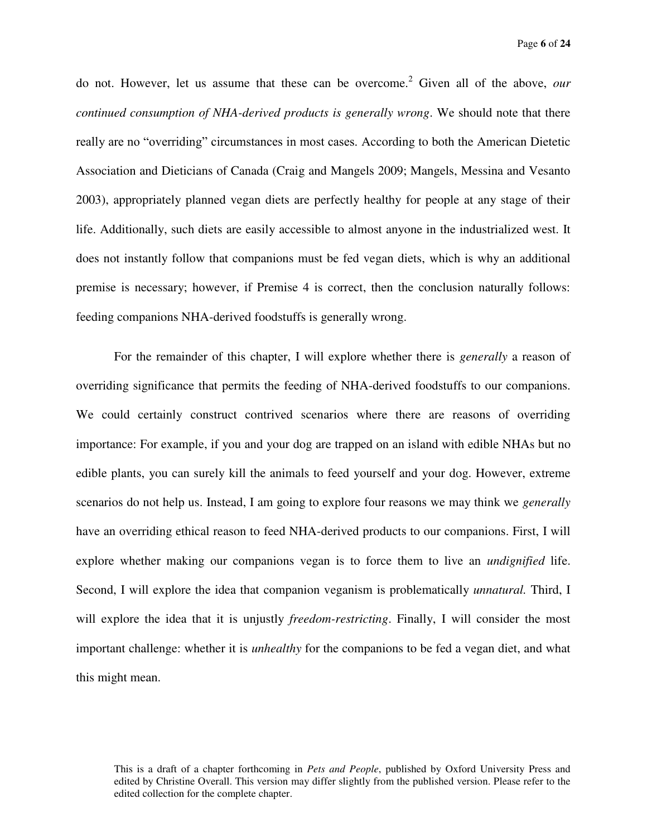do not. However, let us assume that these can be overcome.<sup>2</sup> Given all of the above, *our continued consumption of NHA-derived products is generally wrong*. We should note that there really are no "overriding" circumstances in most cases. According to both the American Dietetic Association and Dieticians of Canada (Craig and Mangels 2009; Mangels, Messina and Vesanto 2003), appropriately planned vegan diets are perfectly healthy for people at any stage of their life. Additionally, such diets are easily accessible to almost anyone in the industrialized west. It does not instantly follow that companions must be fed vegan diets, which is why an additional premise is necessary; however, if Premise 4 is correct, then the conclusion naturally follows: feeding companions NHA-derived foodstuffs is generally wrong.

For the remainder of this chapter, I will explore whether there is *generally* a reason of overriding significance that permits the feeding of NHA-derived foodstuffs to our companions. We could certainly construct contrived scenarios where there are reasons of overriding importance: For example, if you and your dog are trapped on an island with edible NHAs but no edible plants, you can surely kill the animals to feed yourself and your dog. However, extreme scenarios do not help us. Instead, I am going to explore four reasons we may think we *generally* have an overriding ethical reason to feed NHA-derived products to our companions. First, I will explore whether making our companions vegan is to force them to live an *undignified* life. Second, I will explore the idea that companion veganism is problematically *unnatural.* Third, I will explore the idea that it is unjustly *freedom-restricting*. Finally, I will consider the most important challenge: whether it is *unhealthy* for the companions to be fed a vegan diet, and what this might mean.

This is a draft of a chapter forthcoming in *Pets and People*, published by Oxford University Press and edited by Christine Overall. This version may differ slightly from the published version. Please refer to the edited collection for the complete chapter.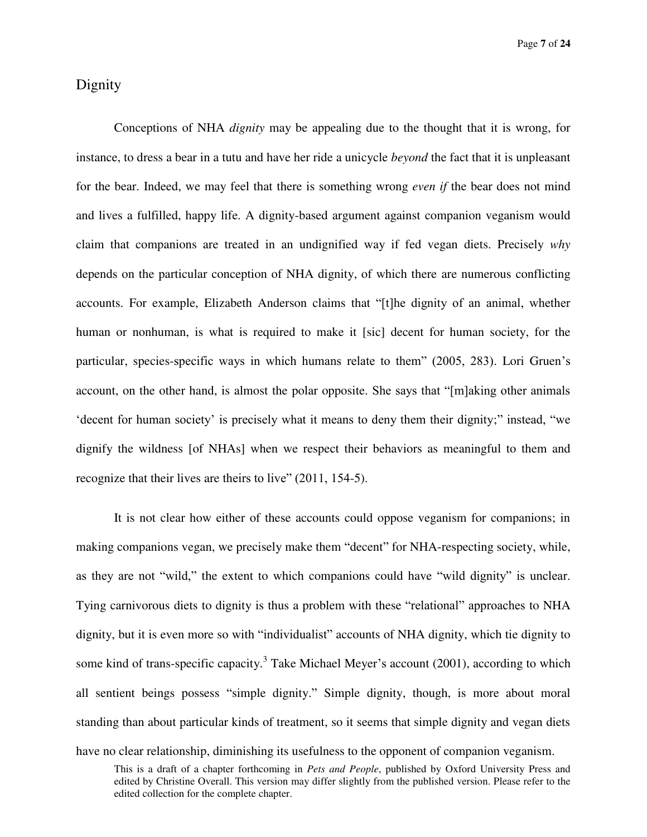# **Dignity**

Conceptions of NHA *dignity* may be appealing due to the thought that it is wrong, for instance, to dress a bear in a tutu and have her ride a unicycle *beyond* the fact that it is unpleasant for the bear. Indeed, we may feel that there is something wrong *even if* the bear does not mind and lives a fulfilled, happy life. A dignity-based argument against companion veganism would claim that companions are treated in an undignified way if fed vegan diets. Precisely *why* depends on the particular conception of NHA dignity, of which there are numerous conflicting accounts. For example, Elizabeth Anderson claims that "[t]he dignity of an animal, whether human or nonhuman, is what is required to make it [sic] decent for human society, for the particular, species-specific ways in which humans relate to them" (2005, 283). Lori Gruen's account, on the other hand, is almost the polar opposite. She says that "[m]aking other animals 'decent for human society' is precisely what it means to deny them their dignity;" instead, "we dignify the wildness [of NHAs] when we respect their behaviors as meaningful to them and recognize that their lives are theirs to live" (2011, 154-5).

It is not clear how either of these accounts could oppose veganism for companions; in making companions vegan, we precisely make them "decent" for NHA-respecting society, while, as they are not "wild," the extent to which companions could have "wild dignity" is unclear. Tying carnivorous diets to dignity is thus a problem with these "relational" approaches to NHA dignity, but it is even more so with "individualist" accounts of NHA dignity, which tie dignity to some kind of trans-specific capacity.<sup>3</sup> Take Michael Meyer's account (2001), according to which all sentient beings possess "simple dignity." Simple dignity, though, is more about moral standing than about particular kinds of treatment, so it seems that simple dignity and vegan diets

have no clear relationship, diminishing its usefulness to the opponent of companion veganism.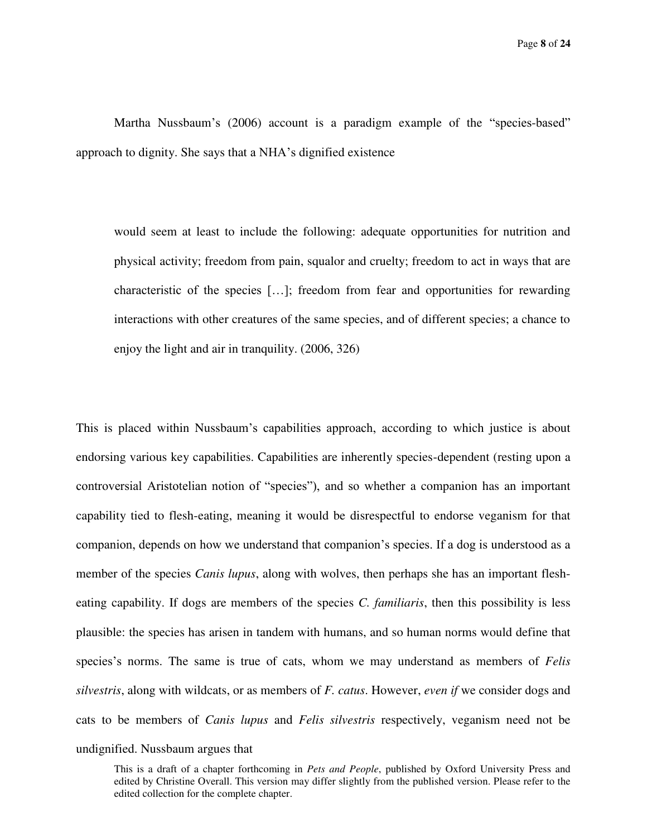Martha Nussbaum's (2006) account is a paradigm example of the "species-based" approach to dignity. She says that a NHA's dignified existence

would seem at least to include the following: adequate opportunities for nutrition and physical activity; freedom from pain, squalor and cruelty; freedom to act in ways that are characteristic of the species […]; freedom from fear and opportunities for rewarding interactions with other creatures of the same species, and of different species; a chance to enjoy the light and air in tranquility. (2006, 326)

This is placed within Nussbaum's capabilities approach, according to which justice is about endorsing various key capabilities. Capabilities are inherently species-dependent (resting upon a controversial Aristotelian notion of "species"), and so whether a companion has an important capability tied to flesh-eating, meaning it would be disrespectful to endorse veganism for that companion, depends on how we understand that companion's species. If a dog is understood as a member of the species *Canis lupus*, along with wolves, then perhaps she has an important flesheating capability. If dogs are members of the species *C. familiaris*, then this possibility is less plausible: the species has arisen in tandem with humans, and so human norms would define that species's norms. The same is true of cats, whom we may understand as members of *Felis silvestris*, along with wildcats, or as members of *F. catus*. However, *even if* we consider dogs and cats to be members of *Canis lupus* and *Felis silvestris* respectively, veganism need not be undignified. Nussbaum argues that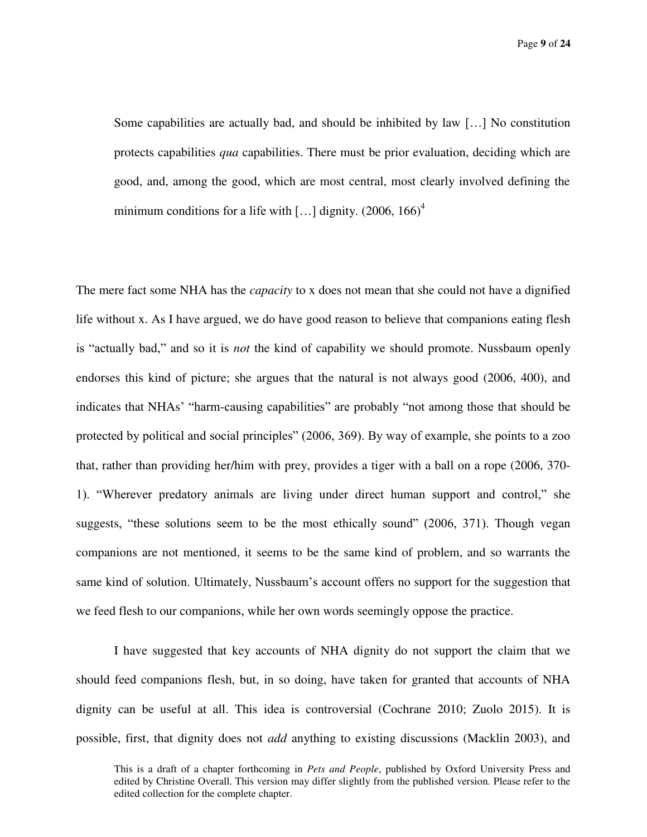Some capabilities are actually bad, and should be inhibited by law […] No constitution protects capabilities *qua* capabilities. There must be prior evaluation, deciding which are good, and, among the good, which are most central, most clearly involved defining the minimum conditions for a life with [...] dignity. (2006,  $166<sup>4</sup>$ )

The mere fact some NHA has the *capacity* to x does not mean that she could not have a dignified life without x. As I have argued, we do have good reason to believe that companions eating flesh is "actually bad," and so it is *not* the kind of capability we should promote. Nussbaum openly endorses this kind of picture; she argues that the natural is not always good (2006, 400), and indicates that NHAs' "harm-causing capabilities" are probably "not among those that should be protected by political and social principles" (2006, 369). By way of example, she points to a zoo that, rather than providing her/him with prey, provides a tiger with a ball on a rope (2006, 370- 1). "Wherever predatory animals are living under direct human support and control," she suggests, "these solutions seem to be the most ethically sound" (2006, 371). Though vegan companions are not mentioned, it seems to be the same kind of problem, and so warrants the same kind of solution. Ultimately, Nussbaum's account offers no support for the suggestion that we feed flesh to our companions, while her own words seemingly oppose the practice.

I have suggested that key accounts of NHA dignity do not support the claim that we should feed companions flesh, but, in so doing, have taken for granted that accounts of NHA dignity can be useful at all. This idea is controversial (Cochrane 2010; Zuolo 2015). It is possible, first, that dignity does not *add* anything to existing discussions (Macklin 2003), and

This is a draft of a chapter forthcoming in *Pets and People*, published by Oxford University Press and edited by Christine Overall. This version may differ slightly from the published version. Please refer to the edited collection for the complete chapter.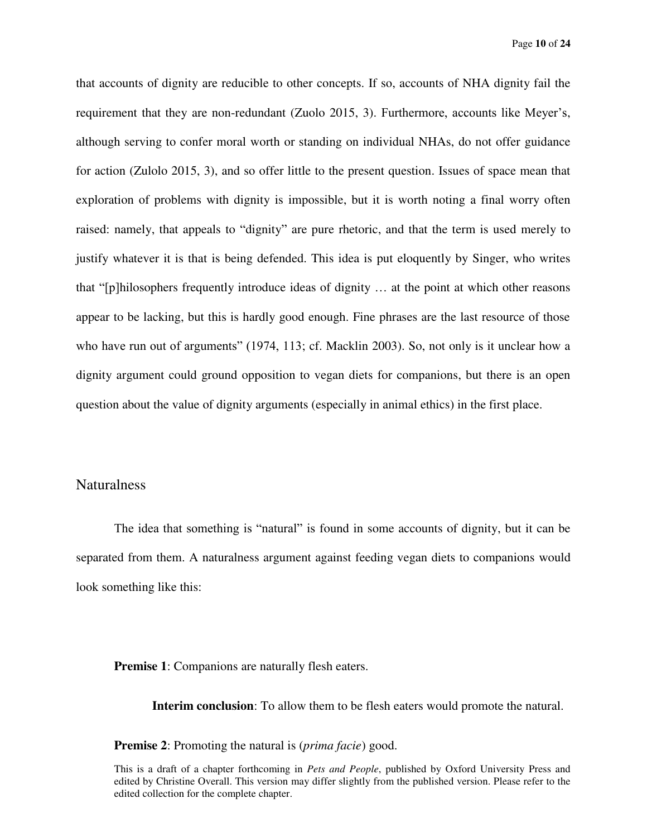that accounts of dignity are reducible to other concepts. If so, accounts of NHA dignity fail the requirement that they are non-redundant (Zuolo 2015, 3). Furthermore, accounts like Meyer's, although serving to confer moral worth or standing on individual NHAs, do not offer guidance for action (Zulolo 2015, 3), and so offer little to the present question. Issues of space mean that exploration of problems with dignity is impossible, but it is worth noting a final worry often raised: namely, that appeals to "dignity" are pure rhetoric, and that the term is used merely to justify whatever it is that is being defended. This idea is put eloquently by Singer, who writes that "[p]hilosophers frequently introduce ideas of dignity … at the point at which other reasons appear to be lacking, but this is hardly good enough. Fine phrases are the last resource of those who have run out of arguments" (1974, 113; cf. Macklin 2003). So, not only is it unclear how a dignity argument could ground opposition to vegan diets for companions, but there is an open question about the value of dignity arguments (especially in animal ethics) in the first place.

# **Naturalness**

The idea that something is "natural" is found in some accounts of dignity, but it can be separated from them. A naturalness argument against feeding vegan diets to companions would look something like this:

**Premise 1**: Companions are naturally flesh eaters.

**Interim conclusion**: To allow them to be flesh eaters would promote the natural.

**Premise 2**: Promoting the natural is (*prima facie*) good.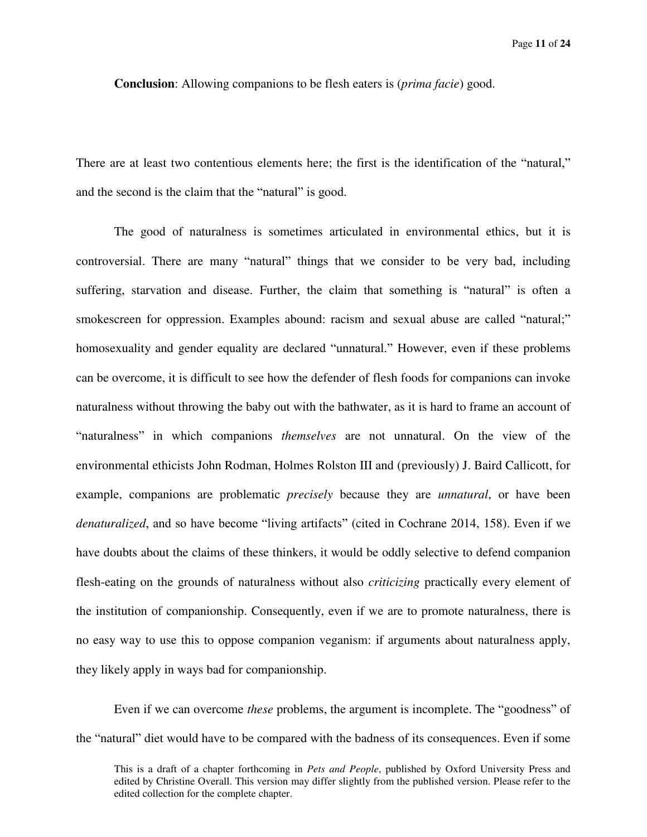**Conclusion**: Allowing companions to be flesh eaters is (*prima facie*) good.

There are at least two contentious elements here; the first is the identification of the "natural," and the second is the claim that the "natural" is good.

The good of naturalness is sometimes articulated in environmental ethics, but it is controversial. There are many "natural" things that we consider to be very bad, including suffering, starvation and disease. Further, the claim that something is "natural" is often a smokescreen for oppression. Examples abound: racism and sexual abuse are called "natural;" homosexuality and gender equality are declared "unnatural." However, even if these problems can be overcome, it is difficult to see how the defender of flesh foods for companions can invoke naturalness without throwing the baby out with the bathwater, as it is hard to frame an account of "naturalness" in which companions *themselves* are not unnatural. On the view of the environmental ethicists John Rodman, Holmes Rolston III and (previously) J. Baird Callicott, for example, companions are problematic *precisely* because they are *unnatural*, or have been *denaturalized*, and so have become "living artifacts" (cited in Cochrane 2014, 158). Even if we have doubts about the claims of these thinkers, it would be oddly selective to defend companion flesh-eating on the grounds of naturalness without also *criticizing* practically every element of the institution of companionship. Consequently, even if we are to promote naturalness, there is no easy way to use this to oppose companion veganism: if arguments about naturalness apply, they likely apply in ways bad for companionship.

Even if we can overcome *these* problems, the argument is incomplete. The "goodness" of the "natural" diet would have to be compared with the badness of its consequences. Even if some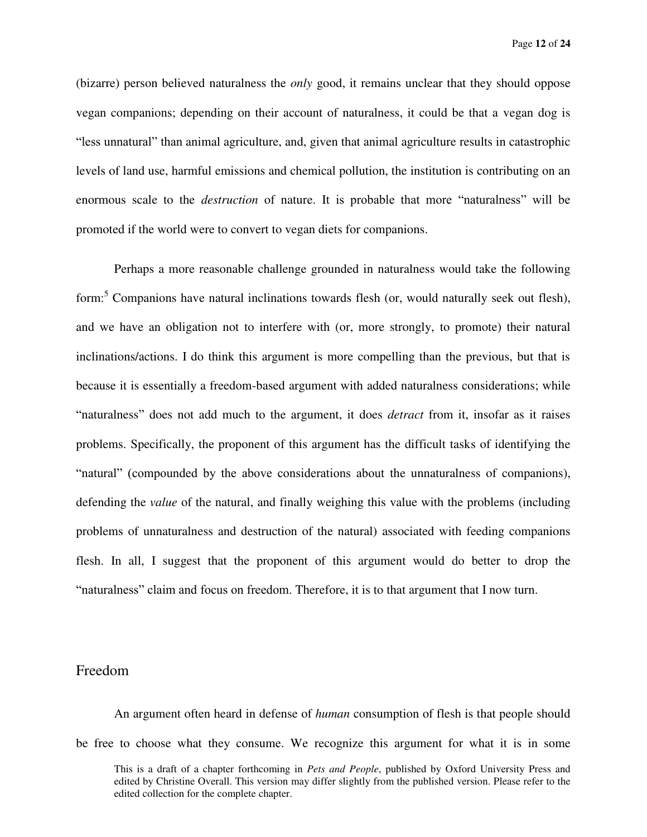(bizarre) person believed naturalness the *only* good, it remains unclear that they should oppose vegan companions; depending on their account of naturalness, it could be that a vegan dog is "less unnatural" than animal agriculture, and, given that animal agriculture results in catastrophic levels of land use, harmful emissions and chemical pollution, the institution is contributing on an enormous scale to the *destruction* of nature. It is probable that more "naturalness" will be promoted if the world were to convert to vegan diets for companions.

Perhaps a more reasonable challenge grounded in naturalness would take the following form:<sup>5</sup> Companions have natural inclinations towards flesh (or, would naturally seek out flesh), and we have an obligation not to interfere with (or, more strongly, to promote) their natural inclinations/actions. I do think this argument is more compelling than the previous, but that is because it is essentially a freedom-based argument with added naturalness considerations; while "naturalness" does not add much to the argument, it does *detract* from it, insofar as it raises problems. Specifically, the proponent of this argument has the difficult tasks of identifying the "natural" (compounded by the above considerations about the unnaturalness of companions), defending the *value* of the natural, and finally weighing this value with the problems (including problems of unnaturalness and destruction of the natural) associated with feeding companions flesh. In all, I suggest that the proponent of this argument would do better to drop the "naturalness" claim and focus on freedom. Therefore, it is to that argument that I now turn.

## Freedom

An argument often heard in defense of *human* consumption of flesh is that people should be free to choose what they consume. We recognize this argument for what it is in some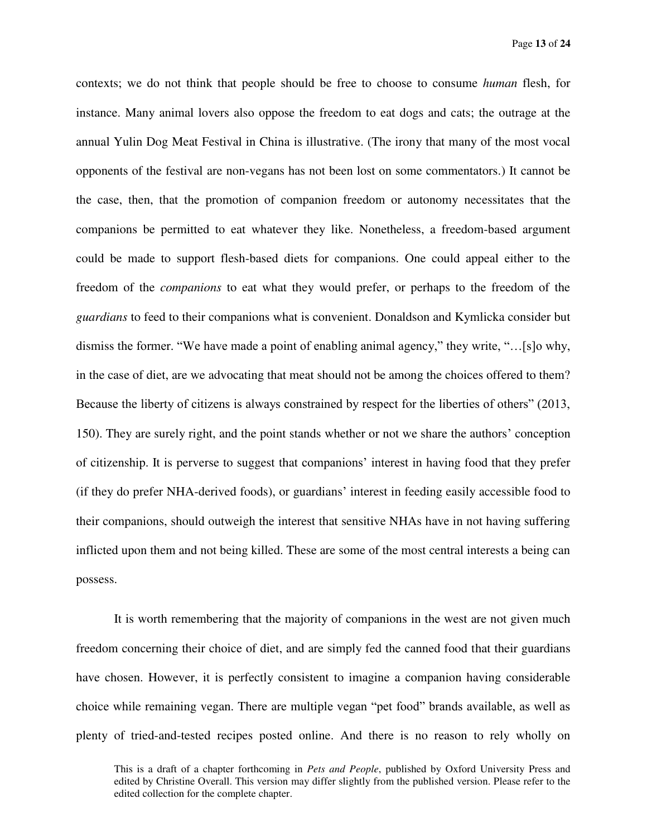contexts; we do not think that people should be free to choose to consume *human* flesh, for instance. Many animal lovers also oppose the freedom to eat dogs and cats; the outrage at the annual Yulin Dog Meat Festival in China is illustrative. (The irony that many of the most vocal opponents of the festival are non-vegans has not been lost on some commentators.) It cannot be the case, then, that the promotion of companion freedom or autonomy necessitates that the companions be permitted to eat whatever they like. Nonetheless, a freedom-based argument could be made to support flesh-based diets for companions. One could appeal either to the freedom of the *companions* to eat what they would prefer, or perhaps to the freedom of the *guardians* to feed to their companions what is convenient. Donaldson and Kymlicka consider but dismiss the former. "We have made a point of enabling animal agency," they write, "…[s]o why, in the case of diet, are we advocating that meat should not be among the choices offered to them? Because the liberty of citizens is always constrained by respect for the liberties of others" (2013, 150). They are surely right, and the point stands whether or not we share the authors' conception of citizenship. It is perverse to suggest that companions' interest in having food that they prefer (if they do prefer NHA-derived foods), or guardians' interest in feeding easily accessible food to their companions, should outweigh the interest that sensitive NHAs have in not having suffering inflicted upon them and not being killed. These are some of the most central interests a being can possess.

It is worth remembering that the majority of companions in the west are not given much freedom concerning their choice of diet, and are simply fed the canned food that their guardians have chosen. However, it is perfectly consistent to imagine a companion having considerable choice while remaining vegan. There are multiple vegan "pet food" brands available, as well as plenty of tried-and-tested recipes posted online. And there is no reason to rely wholly on

This is a draft of a chapter forthcoming in *Pets and People*, published by Oxford University Press and edited by Christine Overall. This version may differ slightly from the published version. Please refer to the edited collection for the complete chapter.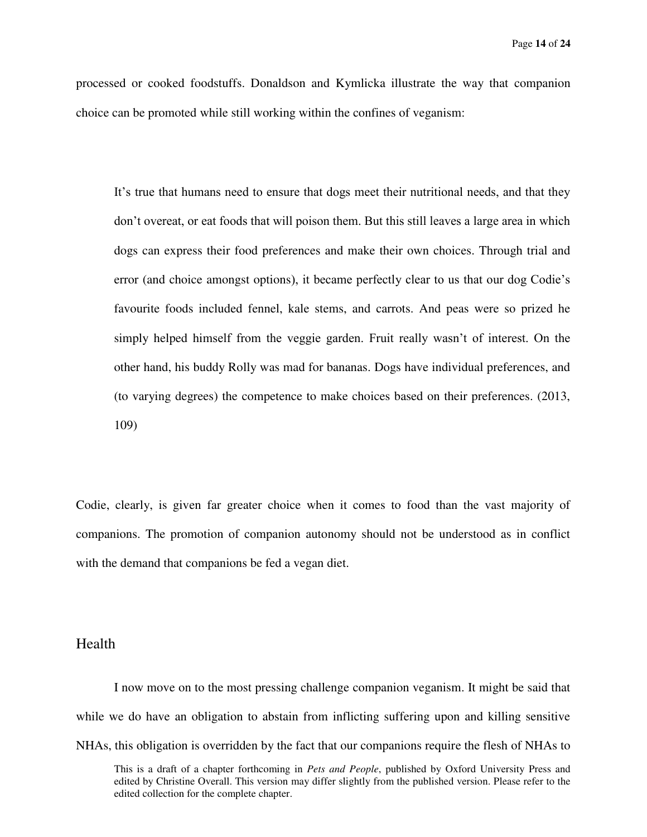processed or cooked foodstuffs. Donaldson and Kymlicka illustrate the way that companion choice can be promoted while still working within the confines of veganism:

It's true that humans need to ensure that dogs meet their nutritional needs, and that they don't overeat, or eat foods that will poison them. But this still leaves a large area in which dogs can express their food preferences and make their own choices. Through trial and error (and choice amongst options), it became perfectly clear to us that our dog Codie's favourite foods included fennel, kale stems, and carrots. And peas were so prized he simply helped himself from the veggie garden. Fruit really wasn't of interest. On the other hand, his buddy Rolly was mad for bananas. Dogs have individual preferences, and (to varying degrees) the competence to make choices based on their preferences. (2013, 109)

Codie, clearly, is given far greater choice when it comes to food than the vast majority of companions. The promotion of companion autonomy should not be understood as in conflict with the demand that companions be fed a vegan diet.

#### Health

I now move on to the most pressing challenge companion veganism. It might be said that while we do have an obligation to abstain from inflicting suffering upon and killing sensitive NHAs, this obligation is overridden by the fact that our companions require the flesh of NHAs to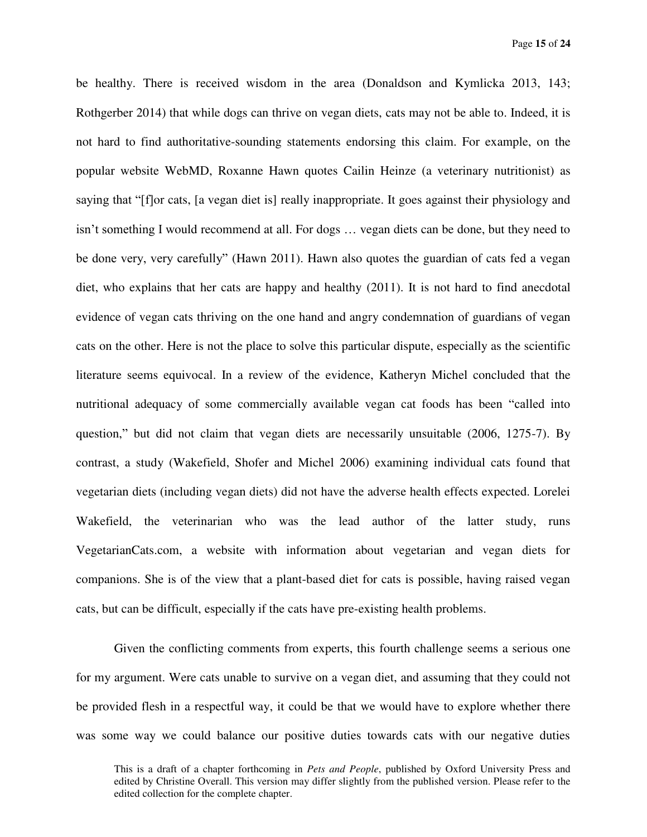be healthy. There is received wisdom in the area (Donaldson and Kymlicka 2013, 143; Rothgerber 2014) that while dogs can thrive on vegan diets, cats may not be able to. Indeed, it is not hard to find authoritative-sounding statements endorsing this claim. For example, on the popular website WebMD, Roxanne Hawn quotes Cailin Heinze (a veterinary nutritionist) as saying that "[f]or cats, [a vegan diet is] really inappropriate. It goes against their physiology and isn't something I would recommend at all. For dogs … vegan diets can be done, but they need to be done very, very carefully" (Hawn 2011). Hawn also quotes the guardian of cats fed a vegan diet, who explains that her cats are happy and healthy (2011). It is not hard to find anecdotal evidence of vegan cats thriving on the one hand and angry condemnation of guardians of vegan cats on the other. Here is not the place to solve this particular dispute, especially as the scientific literature seems equivocal. In a review of the evidence, Katheryn Michel concluded that the nutritional adequacy of some commercially available vegan cat foods has been "called into question," but did not claim that vegan diets are necessarily unsuitable (2006, 1275-7). By contrast, a study (Wakefield, Shofer and Michel 2006) examining individual cats found that vegetarian diets (including vegan diets) did not have the adverse health effects expected. Lorelei Wakefield, the veterinarian who was the lead author of the latter study, runs VegetarianCats.com, a website with information about vegetarian and vegan diets for companions. She is of the view that a plant-based diet for cats is possible, having raised vegan cats, but can be difficult, especially if the cats have pre-existing health problems.

Given the conflicting comments from experts, this fourth challenge seems a serious one for my argument. Were cats unable to survive on a vegan diet, and assuming that they could not be provided flesh in a respectful way, it could be that we would have to explore whether there was some way we could balance our positive duties towards cats with our negative duties

This is a draft of a chapter forthcoming in *Pets and People*, published by Oxford University Press and edited by Christine Overall. This version may differ slightly from the published version. Please refer to the edited collection for the complete chapter.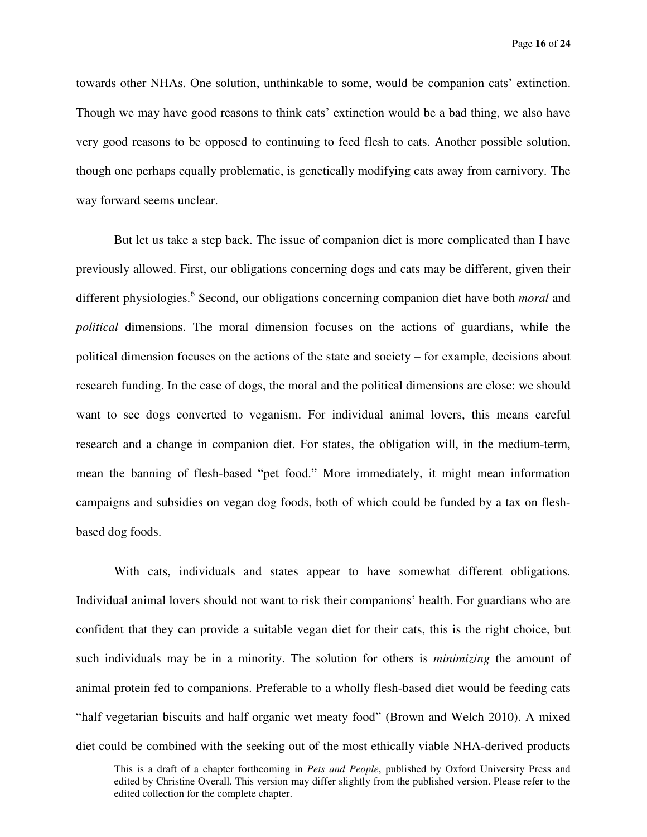towards other NHAs. One solution, unthinkable to some, would be companion cats' extinction. Though we may have good reasons to think cats' extinction would be a bad thing, we also have very good reasons to be opposed to continuing to feed flesh to cats. Another possible solution, though one perhaps equally problematic, is genetically modifying cats away from carnivory. The way forward seems unclear.

But let us take a step back. The issue of companion diet is more complicated than I have previously allowed. First, our obligations concerning dogs and cats may be different, given their different physiologies.<sup>6</sup> Second, our obligations concerning companion diet have both *moral* and *political* dimensions. The moral dimension focuses on the actions of guardians, while the political dimension focuses on the actions of the state and society – for example, decisions about research funding. In the case of dogs, the moral and the political dimensions are close: we should want to see dogs converted to veganism. For individual animal lovers, this means careful research and a change in companion diet. For states, the obligation will, in the medium-term, mean the banning of flesh-based "pet food." More immediately, it might mean information campaigns and subsidies on vegan dog foods, both of which could be funded by a tax on fleshbased dog foods.

With cats, individuals and states appear to have somewhat different obligations. Individual animal lovers should not want to risk their companions' health. For guardians who are confident that they can provide a suitable vegan diet for their cats, this is the right choice, but such individuals may be in a minority. The solution for others is *minimizing* the amount of animal protein fed to companions. Preferable to a wholly flesh-based diet would be feeding cats "half vegetarian biscuits and half organic wet meaty food" (Brown and Welch 2010). A mixed diet could be combined with the seeking out of the most ethically viable NHA-derived products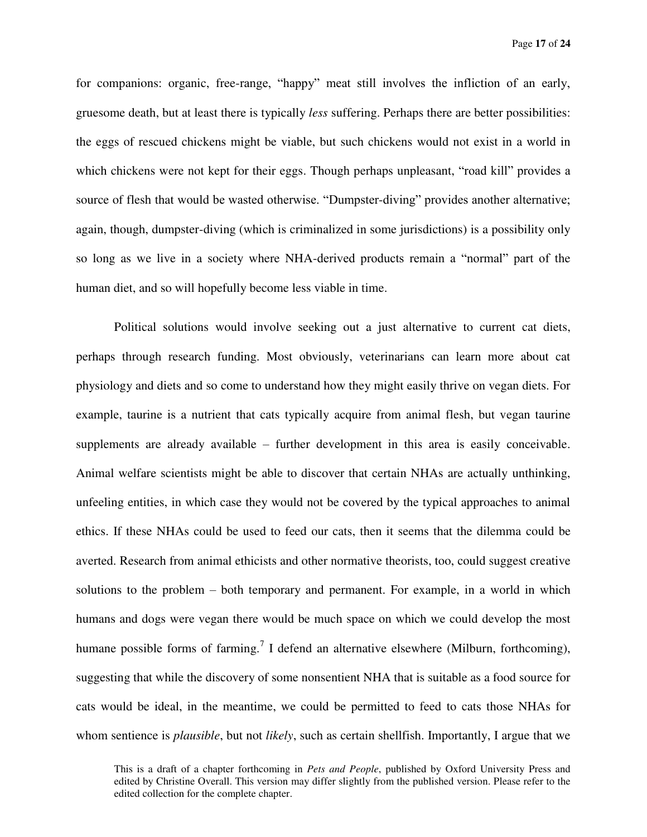for companions: organic, free-range, "happy" meat still involves the infliction of an early, gruesome death, but at least there is typically *less* suffering. Perhaps there are better possibilities: the eggs of rescued chickens might be viable, but such chickens would not exist in a world in which chickens were not kept for their eggs. Though perhaps unpleasant, "road kill" provides a source of flesh that would be wasted otherwise. "Dumpster-diving" provides another alternative; again, though, dumpster-diving (which is criminalized in some jurisdictions) is a possibility only so long as we live in a society where NHA-derived products remain a "normal" part of the human diet, and so will hopefully become less viable in time.

Political solutions would involve seeking out a just alternative to current cat diets, perhaps through research funding. Most obviously, veterinarians can learn more about cat physiology and diets and so come to understand how they might easily thrive on vegan diets. For example, taurine is a nutrient that cats typically acquire from animal flesh, but vegan taurine supplements are already available – further development in this area is easily conceivable. Animal welfare scientists might be able to discover that certain NHAs are actually unthinking, unfeeling entities, in which case they would not be covered by the typical approaches to animal ethics. If these NHAs could be used to feed our cats, then it seems that the dilemma could be averted. Research from animal ethicists and other normative theorists, too, could suggest creative solutions to the problem – both temporary and permanent. For example, in a world in which humans and dogs were vegan there would be much space on which we could develop the most humane possible forms of farming.<sup>7</sup> I defend an alternative elsewhere (Milburn, forthcoming), suggesting that while the discovery of some nonsentient NHA that is suitable as a food source for cats would be ideal, in the meantime, we could be permitted to feed to cats those NHAs for whom sentience is *plausible*, but not *likely*, such as certain shellfish. Importantly, I argue that we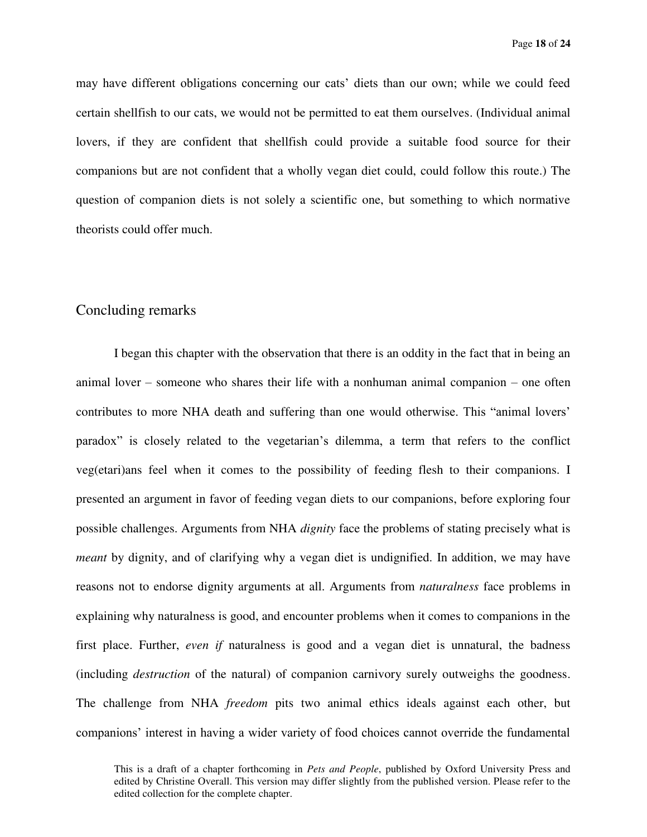may have different obligations concerning our cats' diets than our own; while we could feed certain shellfish to our cats, we would not be permitted to eat them ourselves. (Individual animal lovers, if they are confident that shellfish could provide a suitable food source for their companions but are not confident that a wholly vegan diet could, could follow this route.) The question of companion diets is not solely a scientific one, but something to which normative theorists could offer much.

## Concluding remarks

I began this chapter with the observation that there is an oddity in the fact that in being an animal lover – someone who shares their life with a nonhuman animal companion – one often contributes to more NHA death and suffering than one would otherwise. This "animal lovers' paradox" is closely related to the vegetarian's dilemma, a term that refers to the conflict veg(etari)ans feel when it comes to the possibility of feeding flesh to their companions. I presented an argument in favor of feeding vegan diets to our companions, before exploring four possible challenges. Arguments from NHA *dignity* face the problems of stating precisely what is *meant* by dignity, and of clarifying why a vegan diet is undignified. In addition, we may have reasons not to endorse dignity arguments at all. Arguments from *naturalness* face problems in explaining why naturalness is good, and encounter problems when it comes to companions in the first place. Further, *even if* naturalness is good and a vegan diet is unnatural, the badness (including *destruction* of the natural) of companion carnivory surely outweighs the goodness. The challenge from NHA *freedom* pits two animal ethics ideals against each other, but companions' interest in having a wider variety of food choices cannot override the fundamental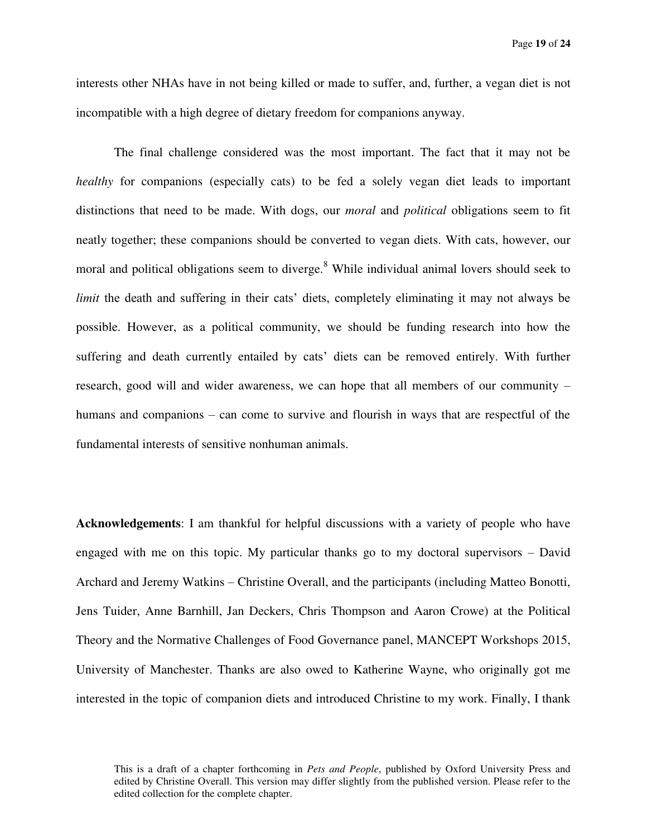interests other NHAs have in not being killed or made to suffer, and, further, a vegan diet is not incompatible with a high degree of dietary freedom for companions anyway.

The final challenge considered was the most important. The fact that it may not be *healthy* for companions (especially cats) to be fed a solely vegan diet leads to important distinctions that need to be made. With dogs, our *moral* and *political* obligations seem to fit neatly together; these companions should be converted to vegan diets. With cats, however, our moral and political obligations seem to diverge.<sup>8</sup> While individual animal lovers should seek to *limit* the death and suffering in their cats' diets, completely eliminating it may not always be possible. However, as a political community, we should be funding research into how the suffering and death currently entailed by cats' diets can be removed entirely. With further research, good will and wider awareness, we can hope that all members of our community – humans and companions – can come to survive and flourish in ways that are respectful of the fundamental interests of sensitive nonhuman animals.

**Acknowledgements**: I am thankful for helpful discussions with a variety of people who have engaged with me on this topic. My particular thanks go to my doctoral supervisors – David Archard and Jeremy Watkins – Christine Overall, and the participants (including Matteo Bonotti, Jens Tuider, Anne Barnhill, Jan Deckers, Chris Thompson and Aaron Crowe) at the Political Theory and the Normative Challenges of Food Governance panel, MANCEPT Workshops 2015, University of Manchester. Thanks are also owed to Katherine Wayne, who originally got me interested in the topic of companion diets and introduced Christine to my work. Finally, I thank

This is a draft of a chapter forthcoming in *Pets and People*, published by Oxford University Press and edited by Christine Overall. This version may differ slightly from the published version. Please refer to the edited collection for the complete chapter.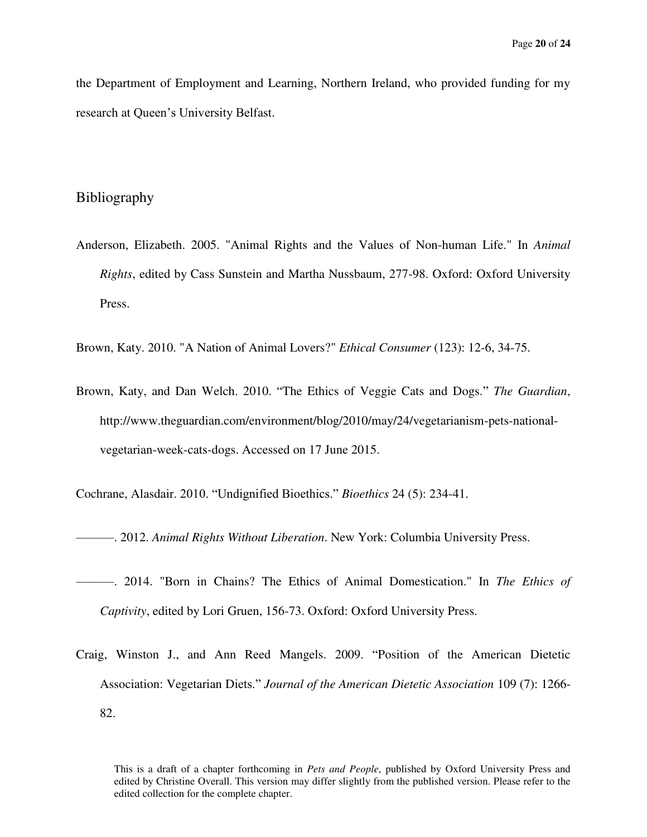the Department of Employment and Learning, Northern Ireland, who provided funding for my research at Queen's University Belfast.

# Bibliography

- Anderson, Elizabeth. 2005. "Animal Rights and the Values of Non-human Life." In *Animal Rights*, edited by Cass Sunstein and Martha Nussbaum, 277-98. Oxford: Oxford University Press.
- Brown, Katy. 2010. "A Nation of Animal Lovers?" *Ethical Consumer* (123): 12-6, 34-75.
- Brown, Katy, and Dan Welch. 2010. "The Ethics of Veggie Cats and Dogs." *The Guardian*, http://www.theguardian.com/environment/blog/2010/may/24/vegetarianism-pets-nationalvegetarian-week-cats-dogs. Accessed on 17 June 2015.
- Cochrane, Alasdair. 2010. "Undignified Bioethics." *Bioethics* 24 (5): 234-41.
- ———. 2012. *Animal Rights Without Liberation*. New York: Columbia University Press.
- ———. 2014. "Born in Chains? The Ethics of Animal Domestication." In *The Ethics of Captivity*, edited by Lori Gruen, 156-73. Oxford: Oxford University Press.
- Craig, Winston J., and Ann Reed Mangels. 2009. "Position of the American Dietetic Association: Vegetarian Diets." *Journal of the American Dietetic Association* 109 (7): 1266- 82.

This is a draft of a chapter forthcoming in *Pets and People*, published by Oxford University Press and edited by Christine Overall. This version may differ slightly from the published version. Please refer to the edited collection for the complete chapter.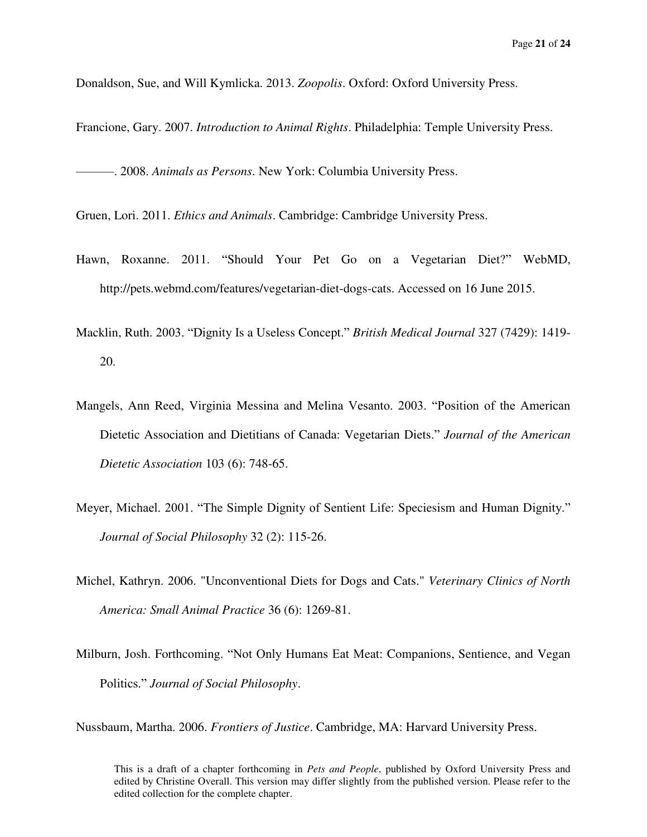Donaldson, Sue, and Will Kymlicka. 2013. *Zoopolis*. Oxford: Oxford University Press.

Francione, Gary. 2007. *Introduction to Animal Rights*. Philadelphia: Temple University Press.

———. 2008. *Animals as Persons*. New York: Columbia University Press.

Gruen, Lori. 2011. *Ethics and Animals*. Cambridge: Cambridge University Press.

- Hawn, Roxanne. 2011. "Should Your Pet Go on a Vegetarian Diet?" WebMD, http://pets.webmd.com/features/vegetarian-diet-dogs-cats. Accessed on 16 June 2015.
- Macklin, Ruth. 2003. "Dignity Is a Useless Concept." *British Medical Journal* 327 (7429): 1419- 20.
- Mangels, Ann Reed, Virginia Messina and Melina Vesanto. 2003. "Position of the American Dietetic Association and Dietitians of Canada: Vegetarian Diets." *Journal of the American Dietetic Association* 103 (6): 748-65.
- Meyer, Michael. 2001. "The Simple Dignity of Sentient Life: Speciesism and Human Dignity." *Journal of Social Philosophy* 32 (2): 115-26.
- Michel, Kathryn. 2006. "Unconventional Diets for Dogs and Cats." *Veterinary Clinics of North America: Small Animal Practice* 36 (6): 1269-81.
- Milburn, Josh. Forthcoming. "Not Only Humans Eat Meat: Companions, Sentience, and Vegan Politics." *Journal of Social Philosophy*.

Nussbaum, Martha. 2006. *Frontiers of Justice*. Cambridge, MA: Harvard University Press.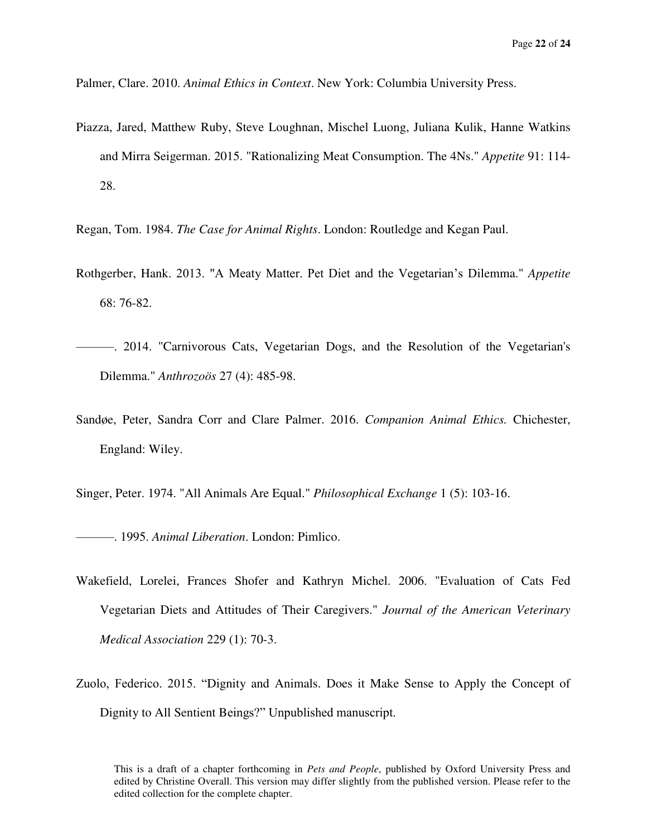Palmer, Clare. 2010. *Animal Ethics in Context*. New York: Columbia University Press.

- Piazza, Jared, Matthew Ruby, Steve Loughnan, Mischel Luong, Juliana Kulik, Hanne Watkins and Mirra Seigerman. 2015. "Rationalizing Meat Consumption. The 4Ns." *Appetite* 91: 114- 28.
- Regan, Tom. 1984. *The Case for Animal Rights*. London: Routledge and Kegan Paul.
- Rothgerber, Hank. 2013. "A Meaty Matter. Pet Diet and the Vegetarian's Dilemma." *Appetite* 68: 76-82.
- ———. 2014. "Carnivorous Cats, Vegetarian Dogs, and the Resolution of the Vegetarian's Dilemma." *Anthrozoös* 27 (4): 485-98.
- Sandøe, Peter, Sandra Corr and Clare Palmer. 2016. *Companion Animal Ethics.* Chichester, England: Wiley.
- Singer, Peter. 1974. "All Animals Are Equal." *Philosophical Exchange* 1 (5): 103-16.
- ———. 1995. *Animal Liberation*. London: Pimlico.
- Wakefield, Lorelei, Frances Shofer and Kathryn Michel. 2006. "Evaluation of Cats Fed Vegetarian Diets and Attitudes of Their Caregivers." *Journal of the American Veterinary Medical Association* 229 (1): 70-3.
- Zuolo, Federico. 2015. "Dignity and Animals. Does it Make Sense to Apply the Concept of Dignity to All Sentient Beings?" Unpublished manuscript.

This is a draft of a chapter forthcoming in *Pets and People*, published by Oxford University Press and edited by Christine Overall. This version may differ slightly from the published version. Please refer to the edited collection for the complete chapter.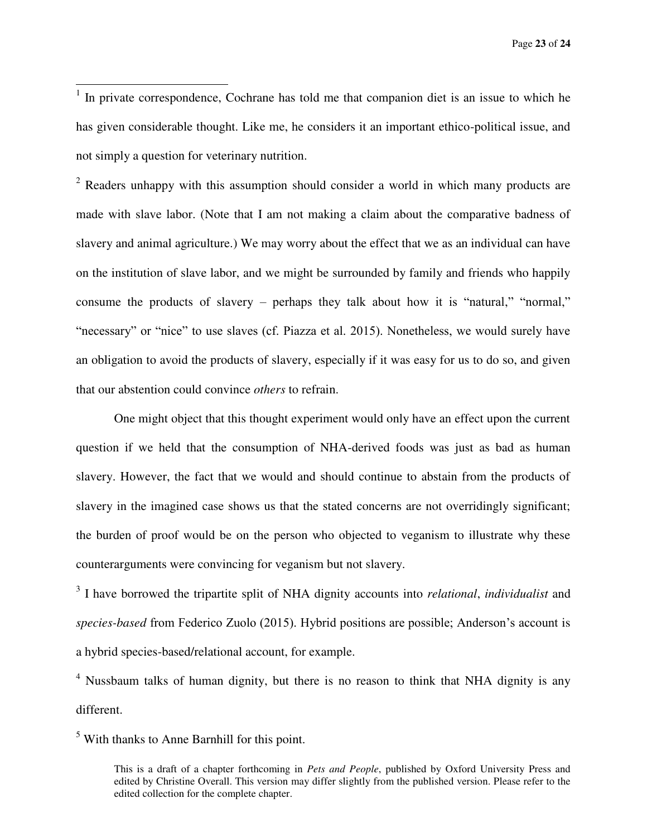Page **23** of **24**

 $<sup>1</sup>$  In private correspondence, Cochrane has told me that companion diet is an issue to which he</sup> has given considerable thought. Like me, he considers it an important ethico-political issue, and not simply a question for veterinary nutrition.

 $2$  Readers unhappy with this assumption should consider a world in which many products are made with slave labor. (Note that I am not making a claim about the comparative badness of slavery and animal agriculture.) We may worry about the effect that we as an individual can have on the institution of slave labor, and we might be surrounded by family and friends who happily consume the products of slavery – perhaps they talk about how it is "natural," "normal," "necessary" or "nice" to use slaves (cf. Piazza et al. 2015). Nonetheless, we would surely have an obligation to avoid the products of slavery, especially if it was easy for us to do so, and given that our abstention could convince *others* to refrain.

One might object that this thought experiment would only have an effect upon the current question if we held that the consumption of NHA-derived foods was just as bad as human slavery. However, the fact that we would and should continue to abstain from the products of slavery in the imagined case shows us that the stated concerns are not overridingly significant; the burden of proof would be on the person who objected to veganism to illustrate why these counterarguments were convincing for veganism but not slavery.

3 I have borrowed the tripartite split of NHA dignity accounts into *relational*, *individualist* and *species-based* from Federico Zuolo (2015). Hybrid positions are possible; Anderson's account is a hybrid species-based/relational account, for example.

<sup>4</sup> Nussbaum talks of human dignity, but there is no reason to think that NHA dignity is any different.

<sup>5</sup> With thanks to Anne Barnhill for this point.

l